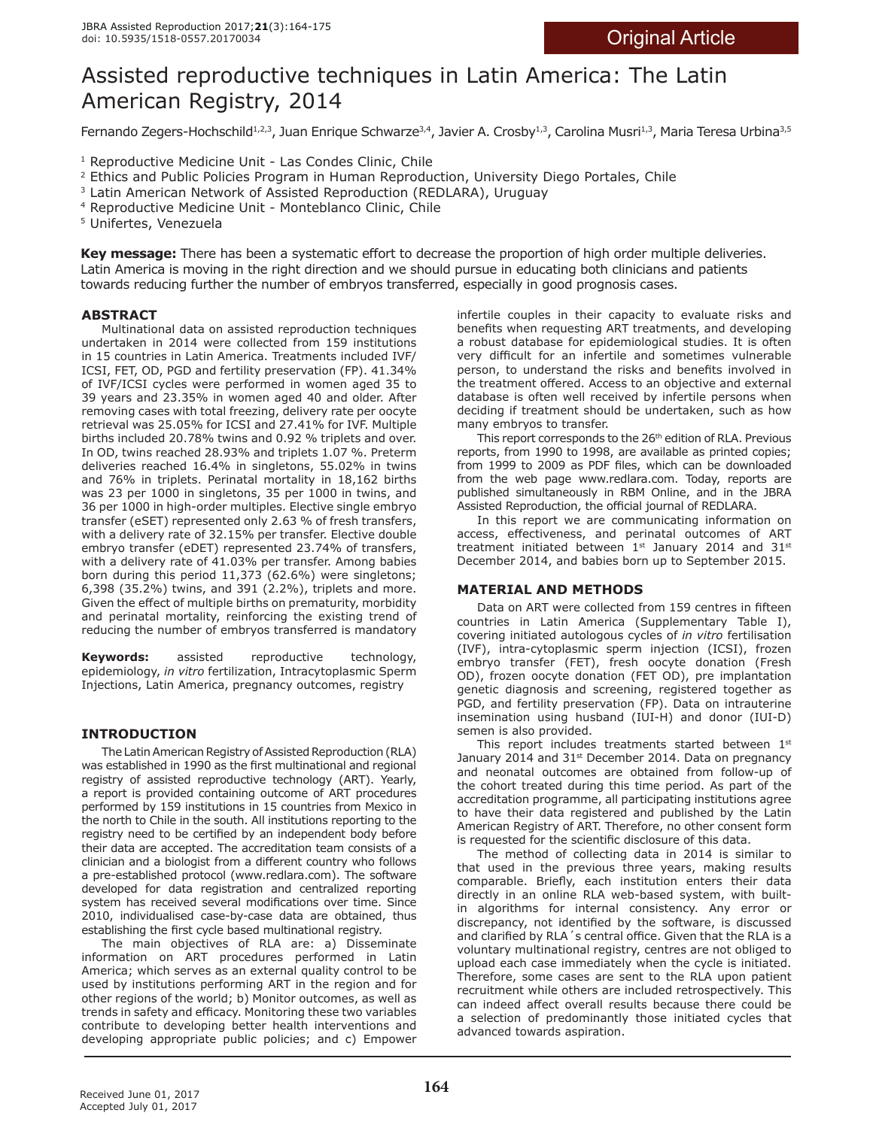# Assisted reproductive techniques in Latin America: The Latin American Registry, 2014

Fernando Zegers-Hochschild<sup>1,2,3</sup>, Juan Enrique Schwarze<sup>3,4</sup>, Javier A. Crosby<sup>1,3</sup>, Carolina Musri<sup>1,3</sup>, Maria Teresa Urbina<sup>3,5</sup>

<sup>1</sup> Reproductive Medicine Unit - Las Condes Clinic, Chile

- <sup>2</sup> Ethics and Public Policies Program in Human Reproduction, University Diego Portales, Chile
- <sup>3</sup> Latin American Network of Assisted Reproduction (REDLARA), Uruguay
- 4 Reproductive Medicine Unit Monteblanco Clinic, Chile

5 Unifertes, Venezuela

**Key message:** There has been a systematic effort to decrease the proportion of high order multiple deliveries. Latin America is moving in the right direction and we should pursue in educating both clinicians and patients towards reducing further the number of embryos transferred, especially in good prognosis cases.

# **ABSTRACT**

Multinational data on assisted reproduction techniques undertaken in 2014 were collected from 159 institutions in 15 countries in Latin America. Treatments included IVF/ ICSI, FET, OD, PGD and fertility preservation (FP). 41.34% of IVF/ICSI cycles were performed in women aged 35 to 39 years and 23.35% in women aged 40 and older. After removing cases with total freezing, delivery rate per oocyte retrieval was 25.05% for ICSI and 27.41% for IVF. Multiple births included 20.78% twins and 0.92 % triplets and over. In OD, twins reached 28.93% and triplets 1.07 %. Preterm deliveries reached 16.4% in singletons, 55.02% in twins and 76% in triplets. Perinatal mortality in 18,162 births was 23 per 1000 in singletons, 35 per 1000 in twins, and 36 per 1000 in high-order multiples. Elective single embryo transfer (eSET) represented only 2.63 % of fresh transfers, with a delivery rate of 32.15% per transfer. Elective double embryo transfer (eDET) represented 23.74% of transfers, with a delivery rate of 41.03% per transfer. Among babies born during this period 11,373 (62.6%) were singletons; 6,398 (35.2%) twins, and 391 (2.2%), triplets and more. Given the efect of multiple births on prematurity, morbidity and perinatal mortality, reinforcing the existing trend of reducing the number of embryos transferred is mandatory

**Keywords:** assisted reproductive technology, epidemiology, *in vitro* fertilization, Intracytoplasmic Sperm Injections, Latin America, pregnancy outcomes, registry

# **INTRODUCTION**

The Latin American Registry of Assisted Reproduction (RLA) was established in 1990 as the frst multinational and regional registry of assisted reproductive technology (ART). Yearly, a report is provided containing outcome of ART procedures performed by 159 institutions in 15 countries from Mexico in the north to Chile in the south. All institutions reporting to the registry need to be certifed by an independent body before their data are accepted. The accreditation team consists of a clinician and a biologist from a diferent country who follows a pre-established protocol (www.redlara.com). The software developed for data registration and centralized reporting system has received several modifcations over time. Since 2010, individualised case-by-case data are obtained, thus establishing the frst cycle based multinational registry.

The main objectives of RLA are: a) Disseminate information on ART procedures performed in Latin America; which serves as an external quality control to be used by institutions performing ART in the region and for other regions of the world; b) Monitor outcomes, as well as trends in safety and efficacy. Monitoring these two variables contribute to developing better health interventions and developing appropriate public policies; and c) Empower infertile couples in their capacity to evaluate risks and benefts when requesting ART treatments, and developing a robust database for epidemiological studies. It is often very difficult for an infertile and sometimes vulnerable person, to understand the risks and benefts involved in the treatment offered. Access to an objective and external database is often well received by infertile persons when deciding if treatment should be undertaken, such as how many embryos to transfer.

This report corresponds to the  $26<sup>th</sup>$  edition of RLA. Previous reports, from 1990 to 1998, are available as printed copies; from 1999 to 2009 as PDF fles, which can be downloaded from the web page www.redlara.com. Today, reports are published simultaneously in RBM Online, and in the JBRA Assisted Reproduction, the official journal of REDLARA.

In this report we are communicating information on access, efectiveness, and perinatal outcomes of ART treatment initiated between  $1^{st}$  January 2014 and 31st December 2014, and babies born up to September 2015.

# **MATERIAL AND METHODS**

Data on ART were collected from 159 centres in ffteen countries in Latin America (Supplementary Table I), covering initiated autologous cycles of *in vitro* fertilisation (IVF), intra-cytoplasmic sperm injection (ICSI), frozen embryo transfer (FET), fresh oocyte donation (Fresh OD), frozen oocyte donation (FET OD), pre implantation genetic diagnosis and screening, registered together as PGD, and fertility preservation (FP). Data on intrauterine insemination using husband (IUI-H) and donor (IUI-D) semen is also provided.

This report includes treatments started between  $1<sup>st</sup>$ January 2014 and 31<sup>st</sup> December 2014. Data on pregnancy and neonatal outcomes are obtained from follow-up of the cohort treated during this time period. As part of the accreditation programme, all participating institutions agree to have their data registered and published by the Latin American Registry of ART. Therefore, no other consent form is requested for the scientifc disclosure of this data.

The method of collecting data in 2014 is similar to that used in the previous three years, making results comparable. Briefy, each institution enters their data directly in an online RLA web-based system, with builtin algorithms for internal consistency. Any error or discrepancy, not identifed by the software, is discussed and clarified by RLA's central office. Given that the RLA is a voluntary multinational registry, centres are not obliged to upload each case immediately when the cycle is initiated. Therefore, some cases are sent to the RLA upon patient recruitment while others are included retrospectively. This can indeed afect overall results because there could be a selection of predominantly those initiated cycles that advanced towards aspiration.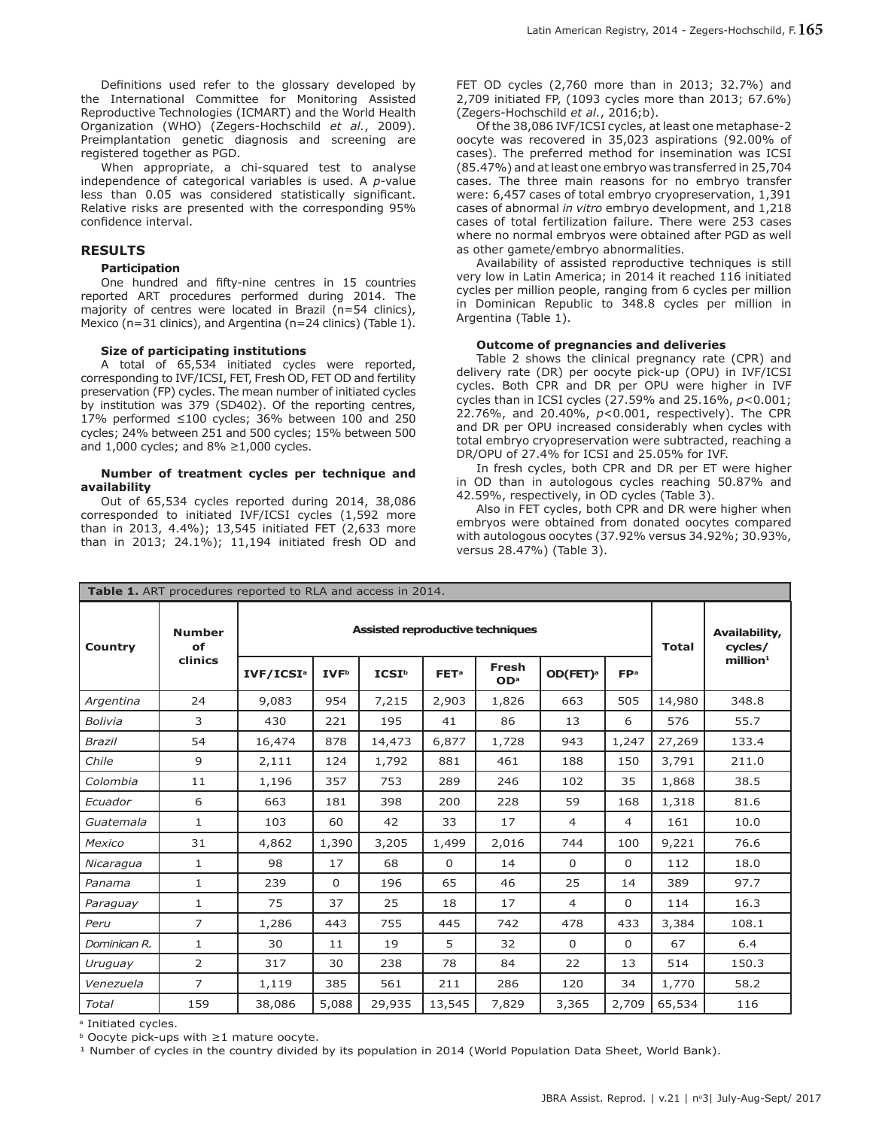Definitions used refer to the glossary developed by the International Committee for Monitoring Assisted Reproductive Technologies (ICMART) and the World Health Organization (WHO) (Zegers-Hochschild *et al.*, 2009). Preimplantation genetic diagnosis and screening are registered together as PGD.

When appropriate, a chi-squared test to analyse independence of categorical variables is used. A *p*-value less than 0.05 was considered statistically significant. Relative risks are presented with the corresponding 95% confdence interval.

### **RESULTS**

#### **Participation**

One hundred and ffty-nine centres in 15 countries reported ART procedures performed during 2014. The majority of centres were located in Brazil (n=54 clinics), Mexico (n=31 clinics), and Argentina (n=24 clinics) (Table 1).

## **Size of participating institutions**

A total of 65,534 initiated cycles were reported, corresponding to IVF/ICSI, FET, Fresh OD, FET OD and fertility preservation (FP) cycles. The mean number of initiated cycles by institution was 379 (SD402). Of the reporting centres, 17% performed ≤100 cycles; 36% between 100 and 250 cycles; 24% between 251 and 500 cycles; 15% between 500 and  $1,000$  cycles; and  $8\% \ge 1,000$  cycles.

#### **Number of treatment cycles per technique and availability**

Out of 65,534 cycles reported during 2014, 38,086 corresponded to initiated IVF/ICSI cycles (1,592 more than in 2013, 4.4%); 13,545 initiated FET (2,633 more than in 2013; 24.1%); 11,194 initiated fresh OD and

FET OD cycles (2,760 more than in 2013; 32.7%) and 2,709 initiated FP, (1093 cycles more than 2013; 67.6%) (Zegers-Hochschild *et al.*, 2016;b).

Of the 38,086 IVF/ICSI cycles, at least one metaphase-2 oocyte was recovered in 35,023 aspirations (92.00% of cases). The preferred method for insemination was ICSI (85.47%) and at least one embryo was transferred in 25,704 cases. The three main reasons for no embryo transfer were: 6,457 cases of total embryo cryopreservation, 1,391 cases of abnormal *in vitro* embryo development, and 1,218 cases of total fertilization failure. There were 253 cases where no normal embryos were obtained after PGD as well as other gamete/embryo abnormalities.

Availability of assisted reproductive techniques is still very low in Latin America; in 2014 it reached 116 initiated cycles per million people, ranging from 6 cycles per million in Dominican Republic to 348.8 cycles per million in Argentina (Table 1).

#### **Outcome of pregnancies and deliveries**

Table 2 shows the clinical pregnancy rate (CPR) and delivery rate (DR) per oocyte pick-up (OPU) in IVF/ICSI cycles. Both CPR and DR per OPU were higher in IVF cycles than in ICSI cycles (27.59% and 25.16%, *p*<0.001; 22.76%, and 20.40%, *p*<0.001, respectively). The CPR and DR per OPU increased considerably when cycles with total embryo cryopreservation were subtracted, reaching a DR/OPU of 27.4% for ICSI and 25.05% for IVF.

In fresh cycles, both CPR and DR per ET were higher in OD than in autologous cycles reaching 50.87% and 42.59%, respectively, in OD cycles (Table 3).

Also in FET cycles, both CPR and DR were higher when embryos were obtained from donated oocytes compared with autologous oocytes (37.92% versus 34.92%; 30.93%, versus 28.47%) (Table 3).

|                | Table 1. ART procedures reported to RLA and access in 2014. |                       |                         |                   |                          |                          |                      |                 |        |                         |
|----------------|-------------------------------------------------------------|-----------------------|-------------------------|-------------------|--------------------------|--------------------------|----------------------|-----------------|--------|-------------------------|
| <b>Country</b> | <b>Number</b><br>оf                                         |                       |                         | <b>Total</b>      | Availability,<br>cycles/ |                          |                      |                 |        |                         |
|                | clinics                                                     | IVF/ICSI <sup>a</sup> | <b>IVF</b> <sup>b</sup> | ICSI <sup>b</sup> | <b>FET<sup>a</sup></b>   | Fresh<br>OD <sup>a</sup> | OD(FET) <sup>a</sup> | FP <sup>a</sup> |        | $m$ illion <sup>1</sup> |
| Argentina      | 24                                                          | 9,083                 | 954                     | 7,215             | 2,903                    | 1,826                    | 663                  | 505             | 14,980 | 348.8                   |
| Bolivia        | 3                                                           | 430                   | 221                     | 195               | 41                       | 86                       | 13                   | 6               | 576    | 55.7                    |
| <b>Brazil</b>  | 54                                                          | 16,474                | 878                     | 14,473            | 6,877                    | 1,728                    | 943                  | 1,247           | 27,269 | 133.4                   |
| Chile          | 9                                                           | 2,111                 | 124                     | 1,792             | 881                      | 461                      | 188                  | 150             | 3,791  | 211.0                   |
| Colombia       | 11                                                          | 1,196                 | 357                     | 753               | 289                      | 246                      | 102                  | 35              | 1,868  | 38.5                    |
| Ecuador        | 6                                                           | 663                   | 181                     | 398               | 200                      | 228                      | 59                   | 168             | 1,318  | 81.6                    |
| Guatemala      | $\mathbf{1}$                                                | 103                   | 60                      | 42                | 33                       | 17                       | $\overline{4}$       | $\overline{4}$  | 161    | 10.0                    |
| Mexico         | 31                                                          | 4,862                 | 1,390                   | 3,205             | 1,499                    | 2,016                    | 744                  | 100             | 9,221  | 76.6                    |
| Nicaragua      | 1                                                           | 98                    | 17                      | 68                | $\Omega$                 | 14                       | 0                    | $\Omega$        | 112    | 18.0                    |
| Panama         | $\mathbf{1}$                                                | 239                   | $\Omega$                | 196               | 65                       | 46                       | 25                   | 14              | 389    | 97.7                    |
| Paraguay       | $\mathbf{1}$                                                | 75                    | 37                      | 25                | 18                       | 17                       | 4                    | 0               | 114    | 16.3                    |
| Peru           | $\overline{7}$                                              | 1,286                 | 443                     | 755               | 445                      | 742                      | 478                  | 433             | 3,384  | 108.1                   |
| Dominican R.   | 1                                                           | 30                    | 11                      | 19                | 5                        | 32                       | $\mathbf 0$          | $\mathbf 0$     | 67     | 6.4                     |
| Uruguay        | 2                                                           | 317                   | 30                      | 238               | 78                       | 84                       | 22                   | 13              | 514    | 150.3                   |
| Venezuela      | $\overline{7}$                                              | 1,119                 | 385                     | 561               | 211                      | 286                      | 120                  | 34              | 1,770  | 58.2                    |
| Total          | 159                                                         | 38,086                | 5,088                   | 29,935            | 13,545                   | 7,829                    | 3,365                | 2,709           | 65,534 | 116                     |

<sup>a</sup> Initiated cycles.

<sup>b</sup> Oocyte pick-ups with ≥1 mature oocyte.

1 Number of cycles in the country divided by its population in 2014 (World Population Data Sheet, World Bank).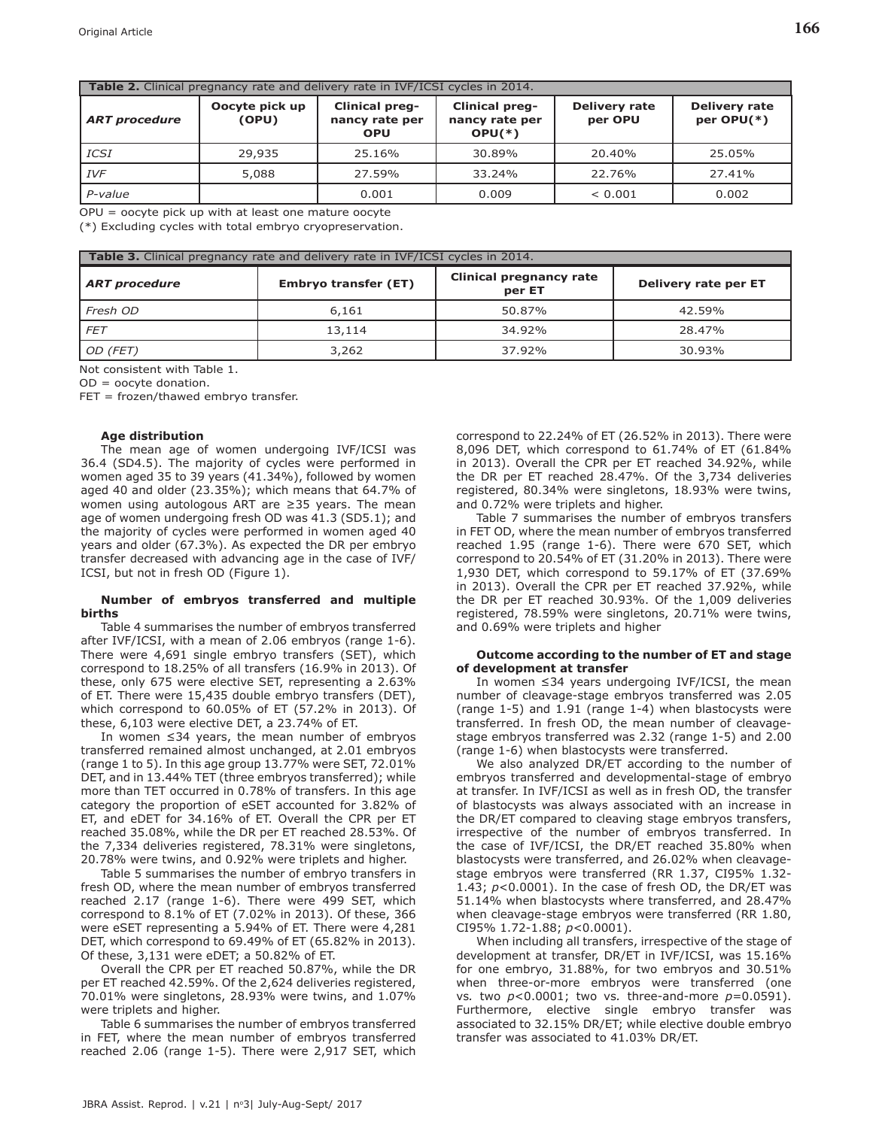| <b>Table 2.</b> Clinical pregnancy rate and delivery rate in IVF/ICSI cycles in 2014. |                         |                                                       |                                                     |                                 |                                    |  |  |  |  |
|---------------------------------------------------------------------------------------|-------------------------|-------------------------------------------------------|-----------------------------------------------------|---------------------------------|------------------------------------|--|--|--|--|
| <b>ART</b> procedure                                                                  | Oocyte pick up<br>(OPU) | <b>Clinical preg-</b><br>nancy rate per<br><b>OPU</b> | <b>Clinical preg-</b><br>nancy rate per<br>$OPU(*)$ | <b>Delivery rate</b><br>per OPU | <b>Delivery rate</b><br>per OPU(*) |  |  |  |  |
| ICSI                                                                                  | 29,935                  | 25.16%                                                | 30.89%                                              | 20.40%                          | 25.05%                             |  |  |  |  |
| <b>IVF</b>                                                                            | 5,088                   | 27.59%                                                | 33.24%                                              | 22.76%                          | 27.41%                             |  |  |  |  |
| P-value                                                                               |                         | 0.001                                                 | 0.009                                               | < 0.001                         | 0.002                              |  |  |  |  |

OPU = oocyte pick up with at least one mature oocyte

(\*) Excluding cycles with total embryo cryopreservation.

| <b>Table 3.</b> Clinical pregnancy rate and delivery rate in IVF/ICSI cycles in 2014. |                             |                                   |                      |  |  |  |  |  |  |
|---------------------------------------------------------------------------------------|-----------------------------|-----------------------------------|----------------------|--|--|--|--|--|--|
| <b>ART</b> procedure                                                                  | <b>Embryo transfer (ET)</b> | Clinical pregnancy rate<br>per ET | Delivery rate per ET |  |  |  |  |  |  |
| Fresh OD                                                                              | 6,161                       | 50.87%                            | 42.59%               |  |  |  |  |  |  |
| <b>FET</b>                                                                            | 13,114                      | 34.92%                            | 28.47%               |  |  |  |  |  |  |
| OD (FET)                                                                              | 3,262                       | 37.92%                            | 30.93%               |  |  |  |  |  |  |

Not consistent with Table 1.

 $OD =$  oocyte donation.

FET = frozen/thawed embryo transfer.

#### **Age distribution**

The mean age of women undergoing IVF/ICSI was 36.4 (SD4.5). The majority of cycles were performed in women aged 35 to 39 years (41.34%), followed by women aged 40 and older (23.35%); which means that 64.7% of women using autologous ART are ≥35 years. The mean age of women undergoing fresh OD was 41.3 (SD5.1); and the majority of cycles were performed in women aged 40 years and older (67.3%). As expected the DR per embryo transfer decreased with advancing age in the case of IVF/ ICSI, but not in fresh OD (Figure 1).

### **Number of embryos transferred and multiple births**

Table 4 summarises the number of embryos transferred after IVF/ICSI, with a mean of 2.06 embryos (range 1-6). There were 4,691 single embryo transfers (SET), which correspond to 18.25% of all transfers (16.9% in 2013). Of these, only 675 were elective SET, representing a 2.63% of ET. There were 15,435 double embryo transfers (DET), which correspond to 60.05% of ET (57.2% in 2013). Of these, 6,103 were elective DET, a 23.74% of ET.

In women ≤34 years, the mean number of embryos transferred remained almost unchanged, at 2.01 embryos (range 1 to 5). In this age group 13.77% were SET, 72.01% DET, and in 13.44% TET (three embryos transferred); while more than TET occurred in 0.78% of transfers. In this age category the proportion of eSET accounted for 3.82% of ET, and eDET for 34.16% of ET. Overall the CPR per ET reached 35.08%, while the DR per ET reached 28.53%. Of the 7,334 deliveries registered, 78.31% were singletons, 20.78% were twins, and 0.92% were triplets and higher.

Table 5 summarises the number of embryo transfers in fresh OD, where the mean number of embryos transferred reached 2.17 (range 1-6). There were 499 SET, which correspond to 8.1% of ET (7.02% in 2013). Of these, 366 were eSET representing a 5.94% of ET. There were 4,281 DET, which correspond to 69.49% of ET (65.82% in 2013). Of these, 3,131 were eDET; a 50.82% of ET.

Overall the CPR per ET reached 50.87%, while the DR per ET reached 42.59%. Of the 2,624 deliveries registered, 70.01% were singletons, 28.93% were twins, and 1.07% were triplets and higher.

Table 6 summarises the number of embryos transferred in FET, where the mean number of embryos transferred reached 2.06 (range 1-5). There were 2,917 SET, which

correspond to 22.24% of ET (26.52% in 2013). There were 8,096 DET, which correspond to 61.74% of ET (61.84% in 2013). Overall the CPR per ET reached 34.92%, while the DR per ET reached 28.47%. Of the 3,734 deliveries registered, 80.34% were singletons, 18.93% were twins, and 0.72% were triplets and higher.

Table 7 summarises the number of embryos transfers in FET OD, where the mean number of embryos transferred reached 1.95 (range 1-6). There were 670 SET, which correspond to 20.54% of ET (31.20% in 2013). There were 1,930 DET, which correspond to 59.17% of ET (37.69% in 2013). Overall the CPR per ET reached 37.92%, while the DR per ET reached 30.93%. Of the 1,009 deliveries registered, 78.59% were singletons, 20.71% were twins, and 0.69% were triplets and higher

#### **Outcome according to the number of ET and stage of development at transfer**

In women ≤34 years undergoing IVF/ICSI, the mean number of cleavage-stage embryos transferred was 2.05 (range 1-5) and 1.91 (range 1-4) when blastocysts were transferred. In fresh OD, the mean number of cleavagestage embryos transferred was 2.32 (range 1-5) and 2.00 (range 1-6) when blastocysts were transferred.

We also analyzed DR/ET according to the number of embryos transferred and developmental-stage of embryo at transfer. In IVF/ICSI as well as in fresh OD, the transfer of blastocysts was always associated with an increase in the DR/ET compared to cleaving stage embryos transfers, irrespective of the number of embryos transferred. In the case of IVF/ICSI, the DR/ET reached 35.80% when blastocysts were transferred, and 26.02% when cleavagestage embryos were transferred (RR 1.37, CI95% 1.32- 1.43; *p*<0.0001). In the case of fresh OD, the DR/ET was 51.14% when blastocysts where transferred, and 28.47% when cleavage-stage embryos were transferred (RR 1.80, CI95% 1.72-1.88; *p*<0.0001).

When including all transfers, irrespective of the stage of development at transfer, DR/ET in IVF/ICSI, was 15.16% for one embryo, 31.88%, for two embryos and 30.51% when three-or-more embryos were transferred (one vs*.* two *p*<0.0001; two vs*.* three-and-more *p*=0.0591). Furthermore, elective single embryo transfer was associated to 32.15% DR/ET; while elective double embryo transfer was associated to 41.03% DR/ET.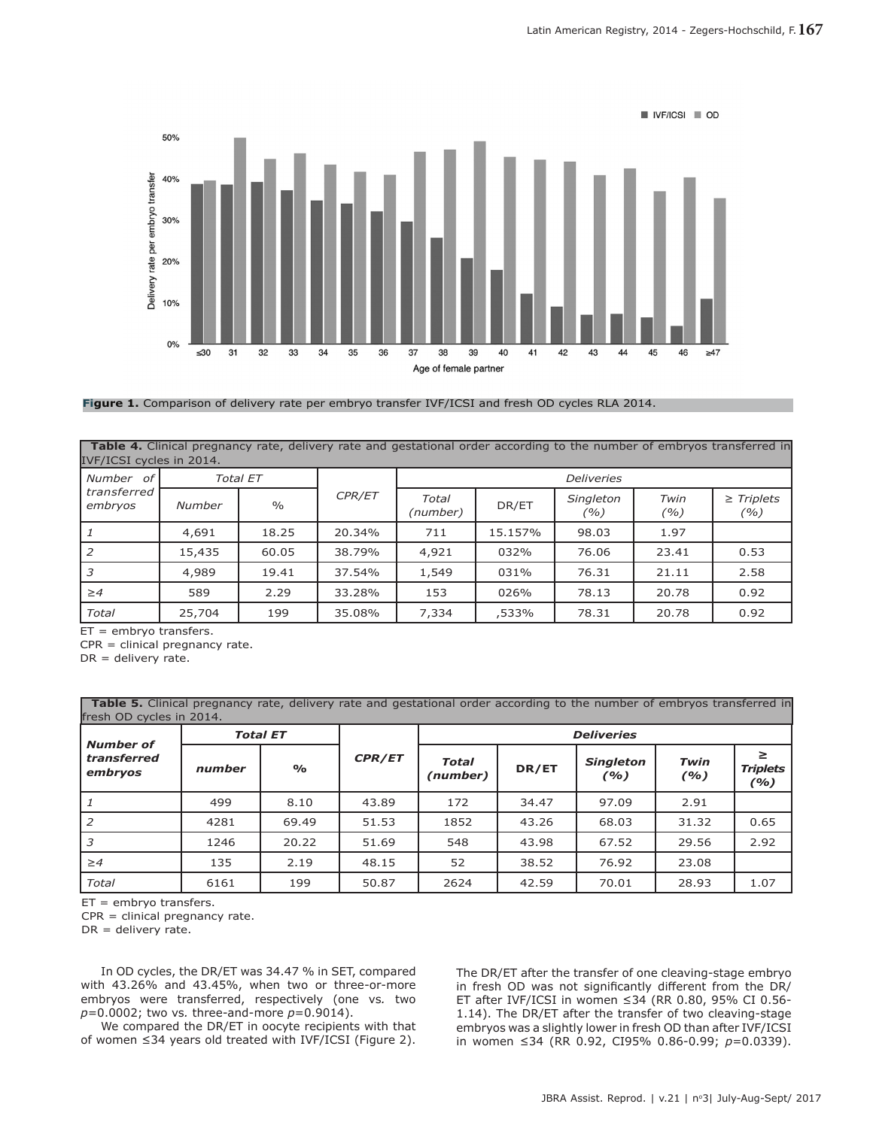

**Figure 1.** Comparison of delivery rate per embryo transfer IVF/ICSI and fresh OD cycles RLA 2014.

|                          | Table 4. Clinical pregnancy rate, delivery rate and gestational order according to the number of embryos transferred in |  |  |  |  |  |  |  |
|--------------------------|-------------------------------------------------------------------------------------------------------------------------|--|--|--|--|--|--|--|
| IVF/ICSI cycles in 2014. |                                                                                                                         |  |  |  |  |  |  |  |

| Number of              |        | Total ET      |        | <b>Deliveries</b> |         |                  |             |                       |  |  |
|------------------------|--------|---------------|--------|-------------------|---------|------------------|-------------|-----------------------|--|--|
| transferred<br>embryos | Number | $\frac{0}{0}$ | CPR/ET | Total<br>(number) | DR/ET   | Singleton<br>(%) | Twin<br>(%) | $\ge$ Triplets<br>(%) |  |  |
|                        | 4,691  | 18.25         | 20.34% | 711               | 15.157% | 98.03            | 1.97        |                       |  |  |
| $\overline{2}$         | 15,435 | 60.05         | 38.79% | 4,921             | 032%    | 76.06            | 23.41       | 0.53                  |  |  |
| l 3                    | 4,989  | 19.41         | 37.54% | 1,549             | 031%    | 76.31            | 21.11       | 2.58                  |  |  |
| $\geq 4$               | 589    | 2.29          | 33.28% | 153               | 026%    | 78.13            | 20.78       | 0.92                  |  |  |
| Total                  | 25,704 | 199           | 35.08% | 7,334             | .533%   | 78.31            | 20.78       | 0.92                  |  |  |

ET = embryo transfers.

CPR = clinical pregnancy rate.

DR = delivery rate.

 **Table 5.** Clinical pregnancy rate, delivery rate and gestational order according to the number of embryos transferred in fresh OD cycles in 2014.

| <b>Number of</b>       |        | <b>Total ET</b> |               | <b>Deliveries</b> |       |                         |             |                             |  |  |  |
|------------------------|--------|-----------------|---------------|-------------------|-------|-------------------------|-------------|-----------------------------|--|--|--|
| transferred<br>embryos | number | $\frac{1}{2}$   | <b>CPR/ET</b> | Total<br>(number) | DR/ET | <b>Singleton</b><br>(%) | Twin<br>(%) | ≥<br><b>Triplets</b><br>(%) |  |  |  |
| 1                      | 499    | 8.10            | 43.89         | 172               | 34.47 | 97.09                   | 2.91        |                             |  |  |  |
| 2                      | 4281   | 69.49           | 51.53         | 1852              | 43.26 | 68.03                   | 31.32       | 0.65                        |  |  |  |
| 3                      | 1246   | 20.22           | 51.69         | 548               | 43.98 | 67.52                   | 29.56       | 2.92                        |  |  |  |
| $\geq 4$               | 135    | 2.19            | 48.15         | 52                | 38.52 | 76.92                   | 23.08       |                             |  |  |  |
| Total                  | 6161   | 199             | 50.87         | 2624              | 42.59 | 70.01                   | 28.93       | 1.07                        |  |  |  |

ET = embryo transfers.

CPR = clinical pregnancy rate.

 $DR =$  delivery rate.

In OD cycles, the DR/ET was 34.47 % in SET, compared with 43.26% and 43.45%, when two or three-or-more embryos were transferred, respectively (one vs*.* two *p*=0.0002; two vs*.* three-and-more *p*=0.9014).

We compared the DR/ET in oocyte recipients with that of women ≤34 years old treated with IVF/ICSI (Figure 2).

The DR/ET after the transfer of one cleaving-stage embryo in fresh OD was not significantly different from the DR/ ET after IVF/ICSI in women ≤34 (RR 0.80, 95% CI 0.56- 1.14). The DR/ET after the transfer of two cleaving-stage embryos was a slightly lower in fresh OD than after IVF/ICSI in women ≤34 (RR 0.92, CI95% 0.86-0.99; *p*=0.0339).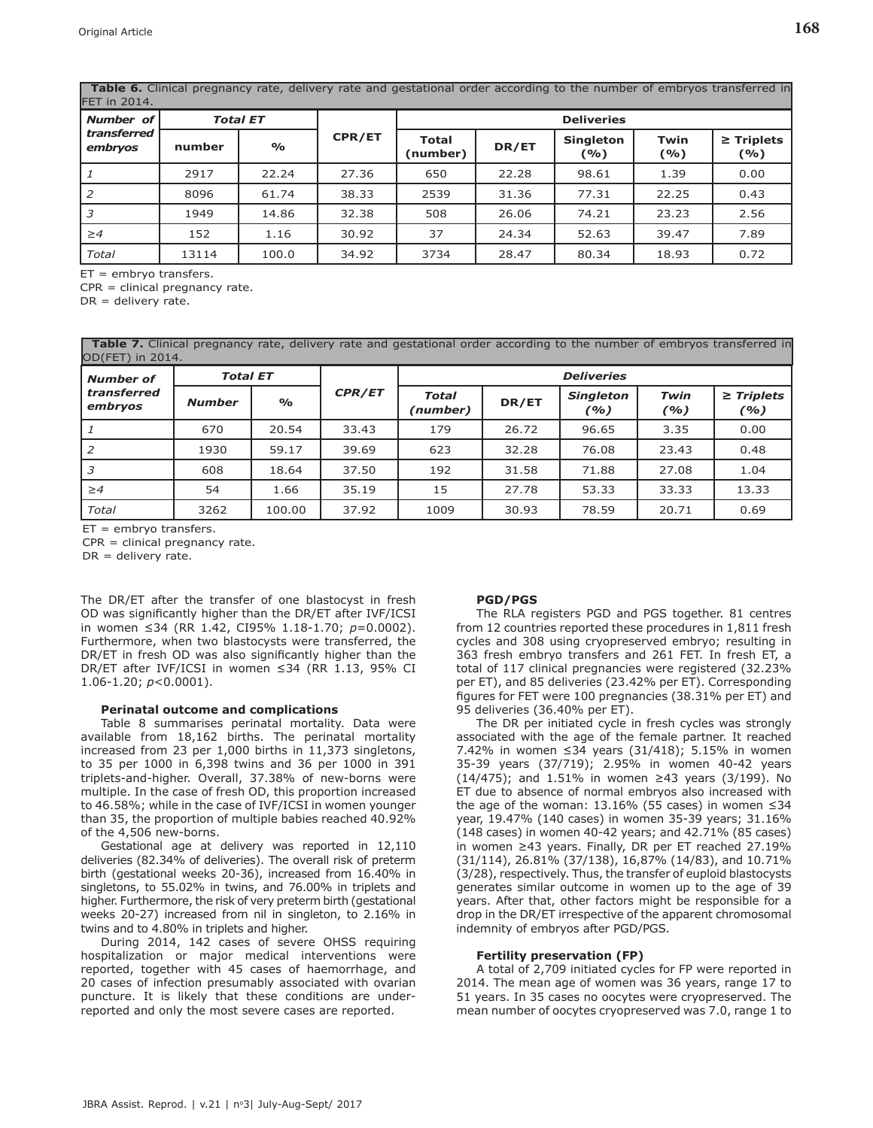| FET in 2014.           |        |                 |                   |                          |       |                         |             |                        |  |  |
|------------------------|--------|-----------------|-------------------|--------------------------|-------|-------------------------|-------------|------------------------|--|--|
| Number of              |        | <b>Total ET</b> | <b>Deliveries</b> |                          |       |                         |             |                        |  |  |
| transferred<br>embryos | number | $\frac{6}{6}$   | CPR/ET            | <b>Total</b><br>(number) | DR/ET | <b>Singleton</b><br>(%) | Twin<br>(%) | $\geq$ Triplets<br>(%) |  |  |
|                        | 2917   | 22.24           | 27.36             | 650                      | 22.28 | 98.61                   | 1.39        | 0.00                   |  |  |
| 2                      | 8096   | 61.74           | 38.33             | 2539                     | 31.36 | 77.31                   | 22.25       | 0.43                   |  |  |
| 3                      | 1949   | 14.86           | 32.38             | 508                      | 26.06 | 74.21                   | 23.23       | 2.56                   |  |  |
| $\geq 4$               | 152    | 1.16            | 30.92             | 37                       | 24.34 | 52.63                   | 39.47       | 7.89                   |  |  |
| Total                  | 13114  | 100.0           | 34.92             | 3734                     | 28.47 | 80.34                   | 18.93       | 0.72                   |  |  |

**Table 6.** Clinical pregnancy rate, delivery rate and gestational order according to the number of embryos transferred in

ET = embryo transfers.

CPR = clinical pregnancy rate.

 $DR =$  delivery rate.

 **Table 7.** Clinical pregnancy rate, delivery rate and gestational order according to the number of embryos transferred in OD(FET) in 2014.

| <b>Number of</b>       | <b>Total ET</b> |               |               | <b>Deliveries</b>        |       |                         |             |                       |  |  |
|------------------------|-----------------|---------------|---------------|--------------------------|-------|-------------------------|-------------|-----------------------|--|--|
| transferred<br>embryos | <b>Number</b>   | $\frac{O}{O}$ | <b>CPR/ET</b> | <b>Total</b><br>(number) | DR/ET | <b>Singleton</b><br>(%) | Twin<br>(%) | $\ge$ Triplets<br>(%) |  |  |
| $\perp$                | 670             | 20.54         | 33.43         | 179                      | 26.72 | 96.65                   | 3.35        | 0.00                  |  |  |
| $\overline{2}$         | 1930            | 59.17         | 39.69         | 623                      | 32.28 | 76.08                   | 23.43       | 0.48                  |  |  |
| 3                      | 608             | 18.64         | 37.50         | 192                      | 31.58 | 71.88                   | 27.08       | 1.04                  |  |  |
| $\geq 4$               | 54              | 1.66          | 35.19         | 15                       | 27.78 | 53.33                   | 33.33       | 13.33                 |  |  |
| Total                  | 3262            | 100.00        | 37.92         | 1009                     | 30.93 | 78.59                   | 20.71       | 0.69                  |  |  |

 $ET =$  embryo transfers.

CPR = clinical pregnancy rate.

 $DR =$  delivery rate.

The DR/ET after the transfer of one blastocyst in fresh OD was signifcantly higher than the DR/ET after IVF/ICSI in women ≤34 (RR 1.42, CI95% 1.18-1.70; *p*=0.0002). Furthermore, when two blastocysts were transferred, the DR/ET in fresh OD was also signifcantly higher than the DR/ET after IVF/ICSI in women ≤34 (RR 1.13, 95% CI 1.06-1.20; *p*<0.0001).

#### **Perinatal outcome and complications**

Table 8 summarises perinatal mortality. Data were available from 18,162 births. The perinatal mortality increased from 23 per 1,000 births in 11,373 singletons, to 35 per 1000 in 6,398 twins and 36 per 1000 in 391 triplets-and-higher. Overall, 37.38% of new-borns were multiple. In the case of fresh OD, this proportion increased to 46.58%; while in the case of IVF/ICSI in women younger than 35, the proportion of multiple babies reached 40.92% of the 4,506 new-borns.

Gestational age at delivery was reported in 12,110 deliveries (82.34% of deliveries). The overall risk of preterm birth (gestational weeks 20-36), increased from 16.40% in singletons, to 55.02% in twins, and 76.00% in triplets and higher. Furthermore, the risk of very preterm birth (gestational weeks 20-27) increased from nil in singleton, to 2.16% in twins and to 4.80% in triplets and higher.

During 2014, 142 cases of severe OHSS requiring hospitalization or major medical interventions were reported, together with 45 cases of haemorrhage, and 20 cases of infection presumably associated with ovarian puncture. It is likely that these conditions are underreported and only the most severe cases are reported.

## **PGD/PGS**

The RLA registers PGD and PGS together. 81 centres from 12 countries reported these procedures in 1,811 fresh cycles and 308 using cryopreserved embryo; resulting in 363 fresh embryo transfers and 261 FET. In fresh ET, a total of 117 clinical pregnancies were registered (32.23% per ET), and 85 deliveries (23.42% per ET). Corresponding fgures for FET were 100 pregnancies (38.31% per ET) and 95 deliveries (36.40% per ET).

The DR per initiated cycle in fresh cycles was strongly associated with the age of the female partner. It reached 7.42% in women ≤34 years (31/418); 5.15% in women 35-39 years (37/719); 2.95% in women 40-42 years (14/475); and 1.51% in women ≥43 years (3/199). No ET due to absence of normal embryos also increased with the age of the woman:  $13.16%$  (55 cases) in women ≤34 year, 19.47% (140 cases) in women 35-39 years; 31.16% (148 cases) in women 40-42 years; and 42.71% (85 cases) in women ≥43 years. Finally, DR per ET reached 27.19% (31/114), 26.81% (37/138), 16,87% (14/83), and 10.71% (3/28), respectively. Thus, the transfer of euploid blastocysts generates similar outcome in women up to the age of 39 years. After that, other factors might be responsible for a drop in the DR/ET irrespective of the apparent chromosomal indemnity of embryos after PGD/PGS.

#### **Fertility preservation (FP)**

A total of 2,709 initiated cycles for FP were reported in 2014. The mean age of women was 36 years, range 17 to 51 years. In 35 cases no oocytes were cryopreserved. The mean number of oocytes cryopreserved was 7.0, range 1 to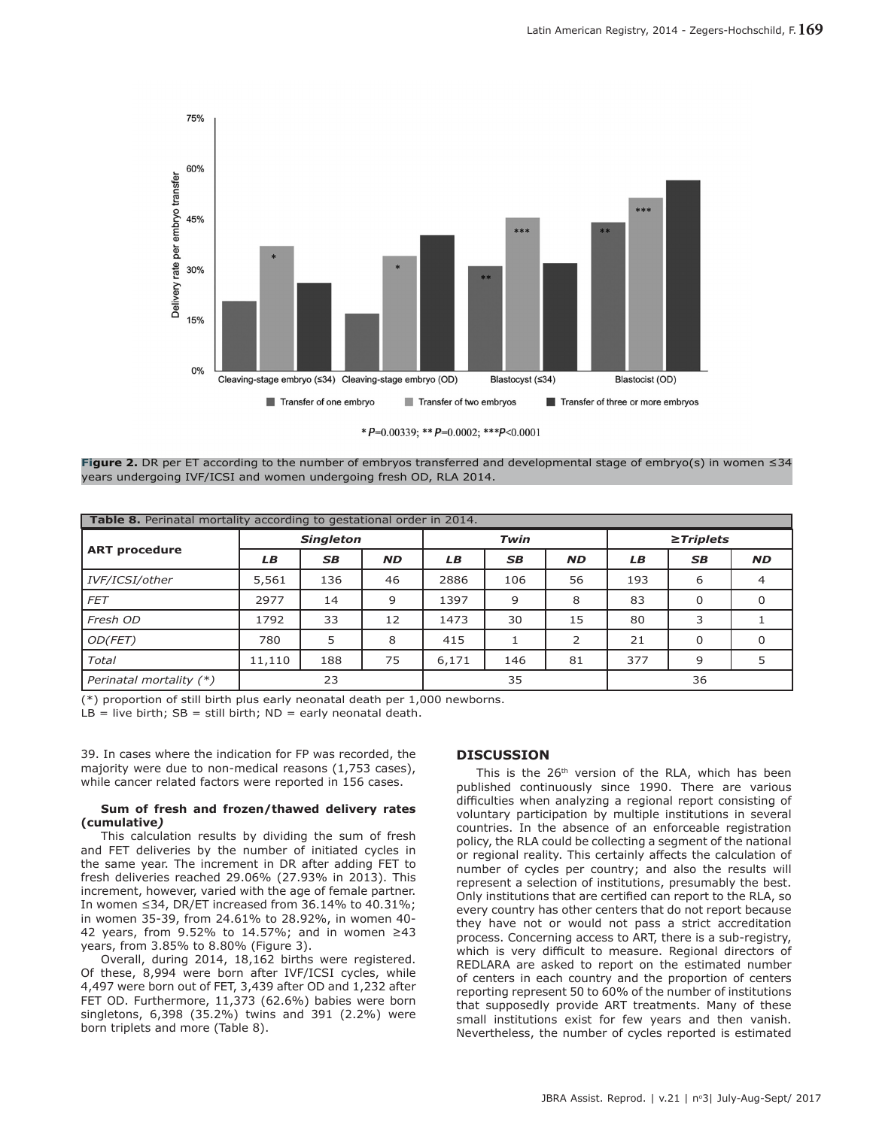

\*  $P=0.00339$ ; \*\*  $P=0.0002$ ; \*\*\* $P<0.0001$ 

**Figure 2.** DR per ET according to the number of embryos transferred and developmental stage of embryo(s) in women ≤34 years undergoing IVF/ICSI and women undergoing fresh OD, RLA 2014.

| <b>Table 8.</b> Perinatal mortality according to gestational order in 2014. |        |                  |           |       |           |           |                |           |           |
|-----------------------------------------------------------------------------|--------|------------------|-----------|-------|-----------|-----------|----------------|-----------|-----------|
|                                                                             |        | <b>Singleton</b> |           |       | Twin      |           | $\ge$ Triplets |           |           |
| <b>ART procedure</b>                                                        | LB     | <b>SB</b>        | <b>ND</b> | LB    | <b>SB</b> | <b>ND</b> | LB             | <b>SB</b> | <b>ND</b> |
| IVF/ICSI/other                                                              | 5,561  | 136              | 46        | 2886  | 106       | 56        | 193            | 6         | 4         |
| FET                                                                         | 2977   | 14               | 9         | 1397  | 9         | 8         | 83             | 0         | 0         |
| Fresh OD                                                                    | 1792   | 33               | 12        | 1473  | 30        | 15        | 80             | 3         |           |
| OD(FET)                                                                     | 780    | 5                | 8         | 415   |           | 2         | 21             | $\Omega$  | $\Omega$  |
| Total                                                                       | 11,110 | 188              | 75        | 6,171 | 146       | 81        | 377            | 9         | 5         |
| Perinatal mortality (*)                                                     |        | 23               |           |       | 35        |           |                | 36        |           |

(\*) proportion of still birth plus early neonatal death per 1,000 newborns.

 $LB = live birth; SB = still birth; ND = early neonatal death.$ 

39. In cases where the indication for FP was recorded, the majority were due to non-medical reasons (1,753 cases), while cancer related factors were reported in 156 cases.

#### **Sum of fresh and frozen/thawed delivery rates (cumulative***)*

This calculation results by dividing the sum of fresh and FET deliveries by the number of initiated cycles in the same year. The increment in DR after adding FET to fresh deliveries reached 29.06% (27.93% in 2013). This increment, however, varied with the age of female partner. In women ≤34, DR/ET increased from 36.14% to 40.31%; in women 35-39, from 24.61% to 28.92%, in women 40- 42 years, from 9.52% to 14.57%; and in women ≥43 years, from 3.85% to 8.80% (Figure 3).

Overall, during 2014, 18,162 births were registered. Of these, 8,994 were born after IVF/ICSI cycles, while 4,497 were born out of FET, 3,439 after OD and 1,232 after FET OD. Furthermore, 11,373 (62.6%) babies were born singletons, 6,398 (35.2%) twins and 391 (2.2%) were born triplets and more (Table 8).

# **DISCUSSION**

This is the 26<sup>th</sup> version of the RLA, which has been published continuously since 1990. There are various difficulties when analyzing a regional report consisting of voluntary participation by multiple institutions in several countries. In the absence of an enforceable registration policy, the RLA could be collecting a segment of the national or regional reality. This certainly afects the calculation of number of cycles per country; and also the results will represent a selection of institutions, presumably the best. Only institutions that are certifed can report to the RLA, so every country has other centers that do not report because they have not or would not pass a strict accreditation process. Concerning access to ART, there is a sub-registry, which is very difficult to measure. Regional directors of REDLARA are asked to report on the estimated number of centers in each country and the proportion of centers reporting represent 50 to 60% of the number of institutions that supposedly provide ART treatments. Many of these small institutions exist for few years and then vanish. Nevertheless, the number of cycles reported is estimated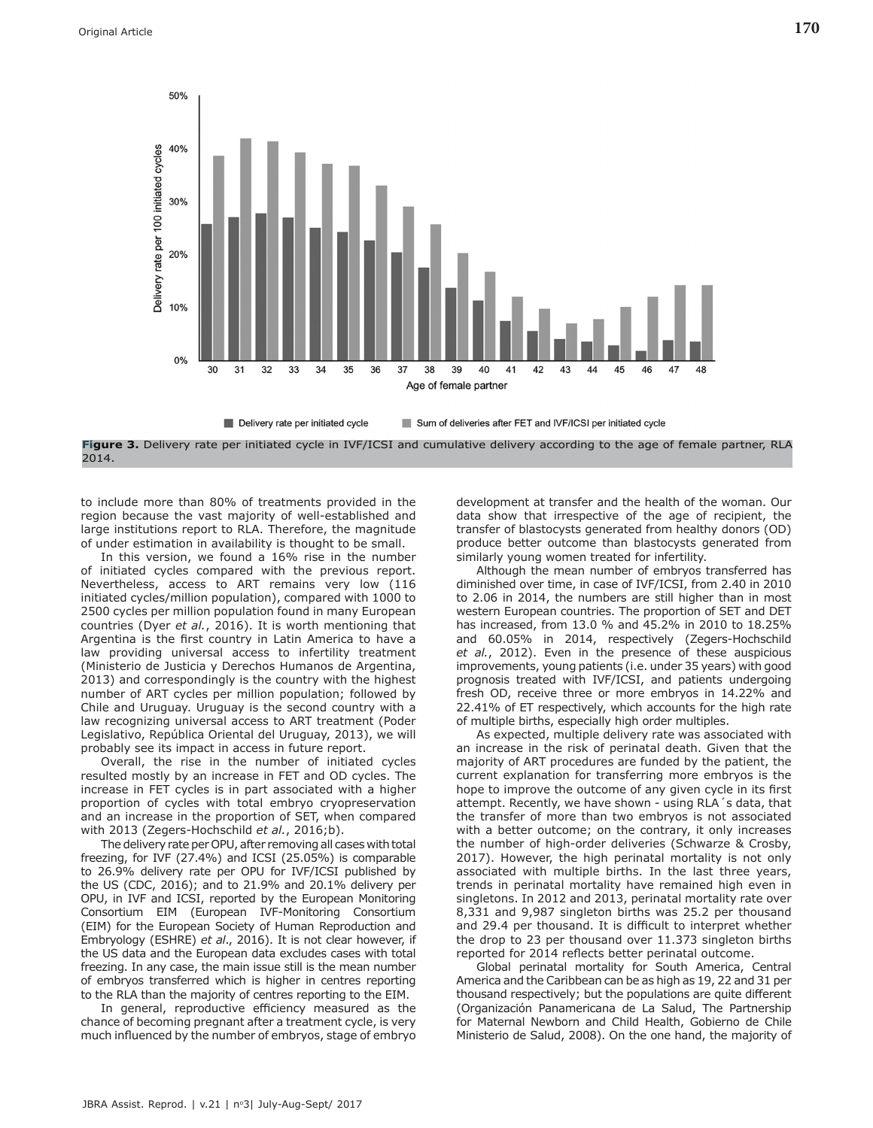



to include more than 80% of treatments provided in the region because the vast majority of well-established and large institutions report to RLA. Therefore, the magnitude of under estimation in availability is thought to be small.

In this version, we found a 16% rise in the number of initiated cycles compared with the previous report. Nevertheless, access to ART remains very low (116 initiated cycles/million population), compared with 1000 to 2500 cycles per million population found in many European countries (Dyer *et al.*, 2016). It is worth mentioning that Argentina is the frst country in Latin America to have a law providing universal access to infertility treatment (Ministerio de Justicia y Derechos Humanos de Argentina, 2013) and correspondingly is the country with the highest number of ART cycles per million population; followed by Chile and Uruguay. Uruguay is the second country with a law recognizing universal access to ART treatment (Poder Legislativo, República Oriental del Uruguay, 2013), we will probably see its impact in access in future report.

Overall, the rise in the number of initiated cycles resulted mostly by an increase in FET and OD cycles. The increase in FET cycles is in part associated with a higher proportion of cycles with total embryo cryopreservation and an increase in the proportion of SET, when compared with 2013 (Zegers-Hochschild *et al.*, 2016;b).

The delivery rate per OPU, after removing all cases with total freezing, for IVF (27.4%) and ICSI (25.05%) is comparable to 26.9% delivery rate per OPU for IVF/ICSI published by the US (CDC, 2016); and to 21.9% and 20.1% delivery per OPU, in IVF and ICSI, reported by the European Monitoring Consortium EIM (European IVF-Monitoring Consortium (EIM) for the European Society of Human Reproduction and Embryology (ESHRE) *et al*., 2016). It is not clear however, if the US data and the European data excludes cases with total freezing. In any case, the main issue still is the mean number of embryos transferred which is higher in centres reporting to the RLA than the majority of centres reporting to the EIM.

In general, reproductive efficiency measured as the chance of becoming pregnant after a treatment cycle, is very much infuenced by the number of embryos, stage of embryo

development at transfer and the health of the woman. Our data show that irrespective of the age of recipient, the transfer of blastocysts generated from healthy donors (OD) produce better outcome than blastocysts generated from similarly young women treated for infertility.

Although the mean number of embryos transferred has diminished over time, in case of IVF/ICSI, from 2.40 in 2010 to 2.06 in 2014, the numbers are still higher than in most western European countries. The proportion of SET and DET has increased, from 13.0 % and 45.2% in 2010 to 18.25% and 60.05% in 2014, respectively (Zegers-Hochschild *et al.*, 2012). Even in the presence of these auspicious improvements, young patients (i.e. under 35 years) with good prognosis treated with IVF/ICSI, and patients undergoing fresh OD, receive three or more embryos in 14.22% and 22.41% of ET respectively, which accounts for the high rate of multiple births, especially high order multiples.

As expected, multiple delivery rate was associated with an increase in the risk of perinatal death. Given that the majority of ART procedures are funded by the patient, the current explanation for transferring more embryos is the hope to improve the outcome of any given cycle in its frst attempt. Recently, we have shown - using RLA´s data, that the transfer of more than two embryos is not associated with a better outcome; on the contrary, it only increases the number of high-order deliveries (Schwarze & Crosby, 2017). However, the high perinatal mortality is not only associated with multiple births. In the last three years, trends in perinatal mortality have remained high even in singletons. In 2012 and 2013, perinatal mortality rate over 8,331 and 9,987 singleton births was 25.2 per thousand and 29.4 per thousand. It is difficult to interpret whether the drop to 23 per thousand over 11.373 singleton births reported for 2014 refects better perinatal outcome.

Global perinatal mortality for South America, Central America and the Caribbean can be as high as 19, 22 and 31 per thousand respectively; but the populations are quite diferent (Organización Panamericana de La Salud, The Partnership for Maternal Newborn and Child Health, Gobierno de Chile Ministerio de Salud, 2008). On the one hand, the majority of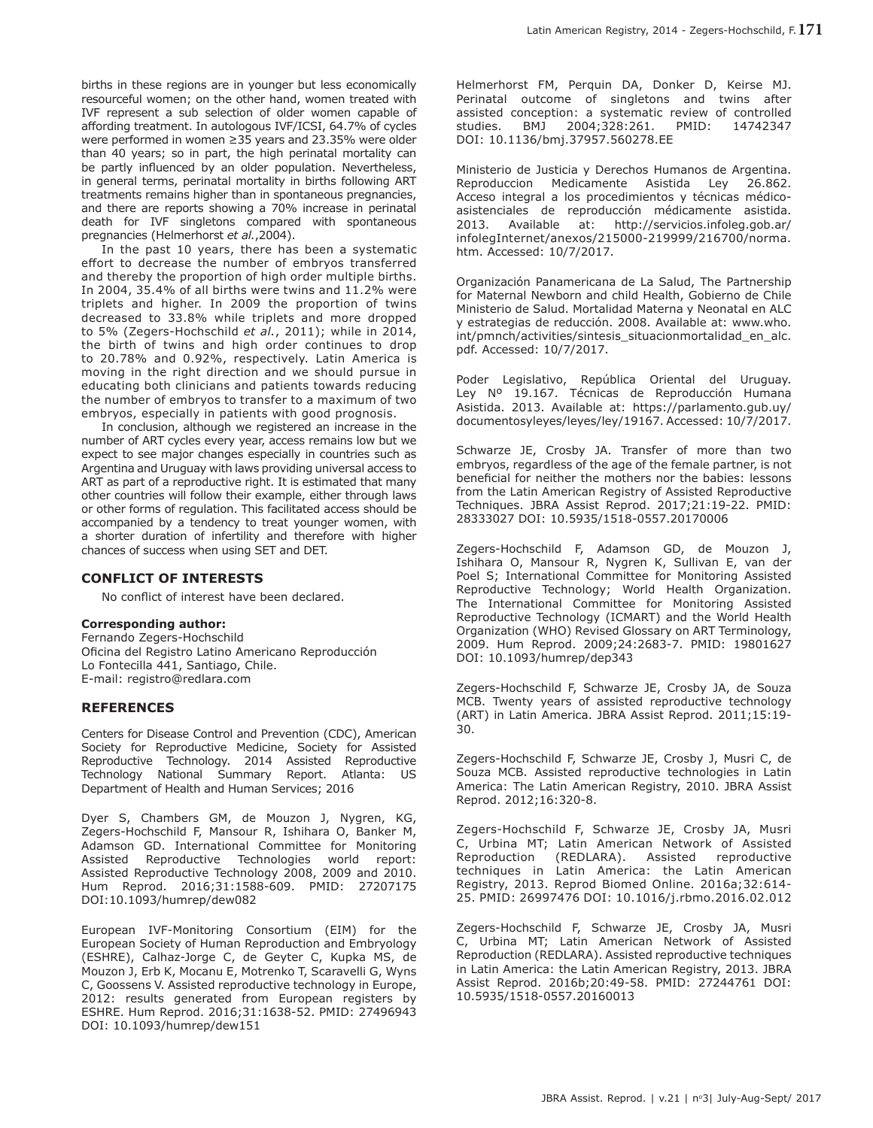births in these regions are in younger but less economically resourceful women; on the other hand, women treated with IVF represent a sub selection of older women capable of affording treatment. In autologous IVF/ICSI, 64.7% of cycles were performed in women ≥35 years and 23.35% were older than 40 years; so in part, the high perinatal mortality can be partly infuenced by an older population. Nevertheless, in general terms, perinatal mortality in births following ART treatments remains higher than in spontaneous pregnancies, and there are reports showing a 70% increase in perinatal death for IVF singletons compared with spontaneous pregnancies (Helmerhorst *et al.*,2004).

In the past 10 years, there has been a systematic efort to decrease the number of embryos transferred and thereby the proportion of high order multiple births. In 2004, 35.4% of all births were twins and 11.2% were triplets and higher. In 2009 the proportion of twins decreased to 33.8% while triplets and more dropped to 5% (Zegers-Hochschild *et al.*, 2011); while in 2014, the birth of twins and high order continues to drop to 20.78% and 0.92%, respectively. Latin America is moving in the right direction and we should pursue in educating both clinicians and patients towards reducing the number of embryos to transfer to a maximum of two embryos, especially in patients with good prognosis.

In conclusion, although we registered an increase in the number of ART cycles every year, access remains low but we expect to see major changes especially in countries such as Argentina and Uruguay with laws providing universal access to ART as part of a reproductive right. It is estimated that many other countries will follow their example, either through laws or other forms of regulation. This facilitated access should be accompanied by a tendency to treat younger women, with a shorter duration of infertility and therefore with higher chances of success when using SET and DET.

## **CONFLICT OF INTERESTS**

No confict of interest have been declared.

#### **Corresponding author:**

Fernando Zegers-Hochschild Oficina del Registro Latino Americano Reproducción Lo Fontecilla 441, Santiago, Chile. E-mail: registro@redlara.com

## **REFERENCES**

Centers for Disease Control and Prevention (CDC), American Society for Reproductive Medicine, Society for Assisted Reproductive Technology. 2014 Assisted Reproductive Technology National Summary Report. Atlanta: US Department of Health and Human Services; 2016

Dyer S, Chambers GM, de Mouzon J, Nygren, KG, Zegers-Hochschild F, Mansour R, Ishihara O, Banker M, Adamson GD. International Committee for Monitoring Assisted Reproductive Technologies world report: Assisted Reproductive Technology 2008, 2009 and 2010. Hum Reprod. 2016;31:1588-609. PMID: 27207175 DOI:10.1093/humrep/dew082

European IVF-Monitoring Consortium (EIM) for the European Society of Human Reproduction and Embryology (ESHRE), Calhaz-Jorge C, de Geyter C, Kupka MS, de Mouzon J, Erb K, Mocanu E, Motrenko T, Scaravelli G, Wyns C, Goossens V. Assisted reproductive technology in Europe, 2012: results generated from European registers by ESHRE. Hum Reprod. 2016;31:1638-52. PMID: 27496943 DOI: 10.1093/humrep/dew151

Helmerhorst FM, Perquin DA, Donker D, Keirse MJ. Perinatal outcome of singletons and twins after assisted conception: a systematic review of controlled studies. BMJ 2004;328:261. PMID: 14742347 DOI: 10.1136/bmj.37957.560278.EE

Ministerio de Justicia y Derechos Humanos de Argentina. Reproduccion Medicamente Asistida Ley 26.862. Acceso integral a los procedimientos y técnicas médicoasistenciales de reproducción médicamente asistida. 2013. Available at: http://servicios.infoleg.gob.ar/ infolegInternet/anexos/215000-219999/216700/norma. htm. Accessed: 10/7/2017.

Organización Panamericana de La Salud, The Partnership for Maternal Newborn and child Health, Gobierno de Chile Ministerio de Salud. Mortalidad Materna y Neonatal en ALC y estrategias de reducción. 2008. Available at: www.who. int/pmnch/activities/sintesis\_situacionmortalidad\_en\_alc. pdf. Accessed: 10/7/2017.

Poder Legislativo, República Oriental del Uruguay. Ley Nº 19.167. Técnicas de Reproducción Humana Asistida. 2013. Available at: https://parlamento.gub.uy/ documentosyleyes/leyes/ley/19167. Accessed: 10/7/2017.

Schwarze JE, Crosby JA. Transfer of more than two embryos, regardless of the age of the female partner, is not beneficial for neither the mothers nor the babies: lessons from the Latin American Registry of Assisted Reproductive Techniques. JBRA Assist Reprod. 2017;21:19-22. PMID: 28333027 DOI: 10.5935/1518-0557.20170006

Zegers-Hochschild F, Adamson GD, de Mouzon J, Ishihara O, Mansour R, Nygren K, Sullivan E, van der Poel S; International Committee for Monitoring Assisted Reproductive Technology; World Health Organization. The International Committee for Monitoring Assisted Reproductive Technology (ICMART) and the World Health Organization (WHO) Revised Glossary on ART Terminology, 2009. Hum Reprod. 2009;24:2683-7. PMID: 19801627 DOI: 10.1093/humrep/dep343

Zegers-Hochschild F, Schwarze JE, Crosby JA, de Souza MCB. Twenty years of assisted reproductive technology (ART) in Latin America. JBRA Assist Reprod. 2011;15:19- 30.

Zegers-Hochschild F, Schwarze JE, Crosby J, Musri C, de Souza MCB. Assisted reproductive technologies in Latin America: The Latin American Registry, 2010. JBRA Assist Reprod. 2012;16:320-8.

Zegers-Hochschild F, Schwarze JE, Crosby JA, Musri C, Urbina MT; Latin American Network of Assisted Reproduction (REDLARA). Assisted reproductive techniques in Latin America: the Latin American Registry, 2013. Reprod Biomed Online. 2016a;32:614- 25. PMID: 26997476 DOI: 10.1016/j.rbmo.2016.02.012

Zegers-Hochschild F, Schwarze JE, Crosby JA, Musri C, Urbina MT; Latin American Network of Assisted Reproduction (REDLARA). Assisted reproductive techniques in Latin America: the Latin American Registry, 2013. JBRA Assist Reprod. 2016b;20:49-58. PMID: 27244761 DOI: 10.5935/1518-0557.20160013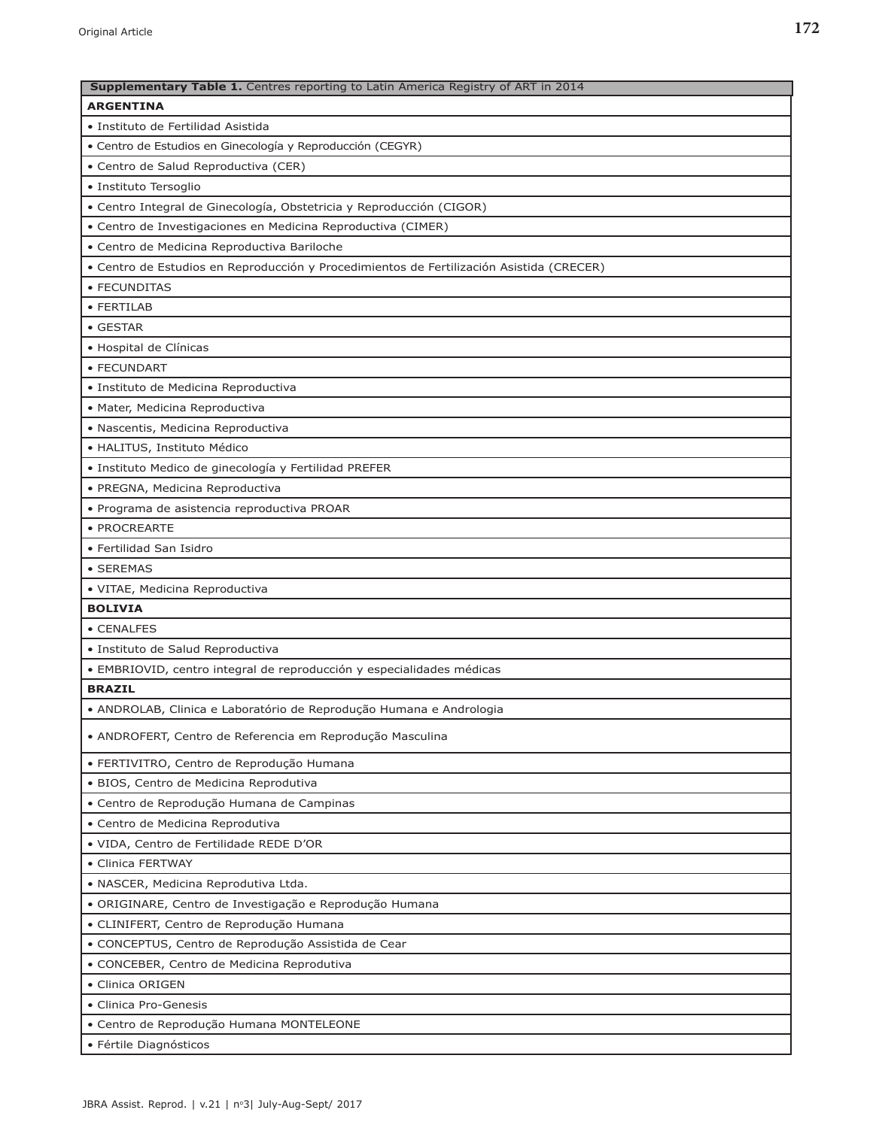| Supplementary Table 1. Centres reporting to Latin America Registry of ART in 2014        |
|------------------------------------------------------------------------------------------|
| <b>ARGENTINA</b>                                                                         |
| • Instituto de Fertilidad Asistida                                                       |
| · Centro de Estudios en Ginecología y Reproducción (CEGYR)                               |
| · Centro de Salud Reproductiva (CER)                                                     |
| · Instituto Tersoglio                                                                    |
| • Centro Integral de Ginecología, Obstetricia y Reproducción (CIGOR)                     |
| • Centro de Investigaciones en Medicina Reproductiva (CIMER)                             |
| · Centro de Medicina Reproductiva Bariloche                                              |
| · Centro de Estudios en Reproducción y Procedimientos de Fertilización Asistida (CRECER) |
| • FECUNDITAS                                                                             |
| • FERTILAB                                                                               |
| • GESTAR                                                                                 |
| · Hospital de Clínicas                                                                   |
| • FECUNDART                                                                              |
| · Instituto de Medicina Reproductiva                                                     |
| · Mater, Medicina Reproductiva                                                           |
| · Nascentis, Medicina Reproductiva                                                       |
| · HALITUS, Instituto Médico                                                              |
| · Instituto Medico de ginecología y Fertilidad PREFER                                    |
| · PREGNA, Medicina Reproductiva                                                          |
| · Programa de asistencia reproductiva PROAR                                              |
| · PROCREARTE                                                                             |
| • Fertilidad San Isidro                                                                  |
| • SEREMAS                                                                                |
| · VITAE, Medicina Reproductiva                                                           |
| <b>BOLIVIA</b>                                                                           |
| • CENALFES                                                                               |
| · Instituto de Salud Reproductiva                                                        |
| · EMBRIOVID, centro integral de reproducción y especialidades médicas                    |
| <b>BRAZIL</b>                                                                            |
| • ANDROLAB, Clinica e Laboratório de Reprodução Humana e Andrologia                      |
|                                                                                          |
| • ANDROFERT, Centro de Referencia em Reprodução Masculina                                |
| · FERTIVITRO, Centro de Reprodução Humana                                                |
| · BIOS, Centro de Medicina Reprodutiva                                                   |
| · Centro de Reprodução Humana de Campinas                                                |
| • Centro de Medicina Reprodutiva                                                         |
| · VIDA, Centro de Fertilidade REDE D'OR                                                  |
| • Clinica FERTWAY                                                                        |
| · NASCER, Medicina Reprodutiva Ltda.                                                     |
| · ORIGINARE, Centro de Investigação e Reprodução Humana                                  |
| · CLINIFERT, Centro de Reprodução Humana                                                 |
| · CONCEPTUS, Centro de Reprodução Assistida de Cear                                      |
| • CONCEBER, Centro de Medicina Reprodutiva                                               |
| • Clinica ORIGEN                                                                         |
| • Clinica Pro-Genesis                                                                    |
| · Centro de Reprodução Humana MONTELEONE                                                 |
| · Fértile Diagnósticos                                                                   |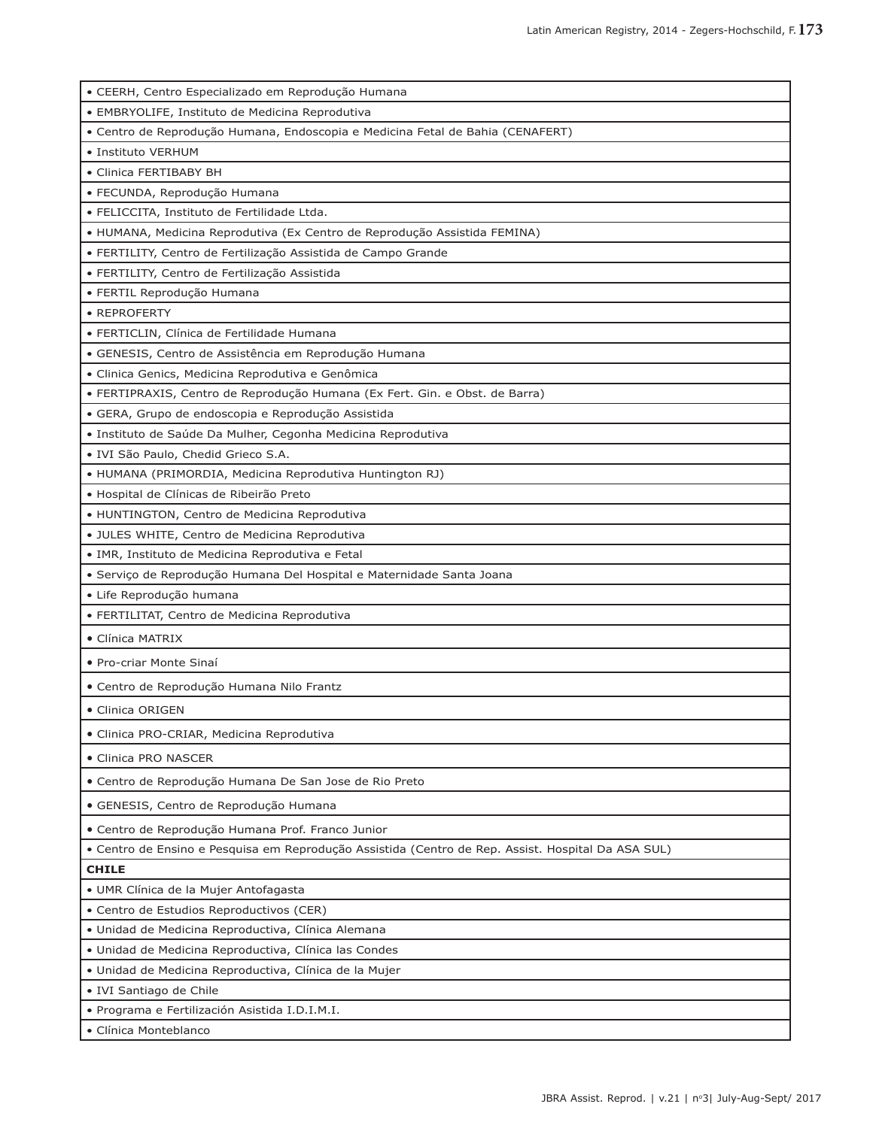| · CEERH, Centro Especializado em Reprodução Humana                                               |
|--------------------------------------------------------------------------------------------------|
| · EMBRYOLIFE, Instituto de Medicina Reprodutiva                                                  |
| • Centro de Reprodução Humana, Endoscopia e Medicina Fetal de Bahia (CENAFERT)                   |
| • Instituto VERHUM                                                                               |
| • Clinica FERTIBABY BH                                                                           |
| · FECUNDA, Reprodução Humana                                                                     |
| • FELICCITA, Instituto de Fertilidade Ltda.                                                      |
| · HUMANA, Medicina Reprodutiva (Ex Centro de Reprodução Assistida FEMINA)                        |
| · FERTILITY, Centro de Fertilização Assistida de Campo Grande                                    |
| · FERTILITY, Centro de Fertilização Assistida                                                    |
| · FERTIL Reprodução Humana                                                                       |
| • REPROFERTY                                                                                     |
| · FERTICLIN, Clínica de Fertilidade Humana                                                       |
| · GENESIS, Centro de Assistência em Reprodução Humana                                            |
| · Clinica Genics, Medicina Reprodutiva e Genômica                                                |
| · FERTIPRAXIS, Centro de Reprodução Humana (Ex Fert. Gin. e Obst. de Barra)                      |
| · GERA, Grupo de endoscopia e Reprodução Assistida                                               |
| · Instituto de Saúde Da Mulher, Cegonha Medicina Reprodutiva                                     |
| • IVI São Paulo, Chedid Grieco S.A.                                                              |
| • HUMANA (PRIMORDIA, Medicina Reprodutiva Huntington RJ)                                         |
| • Hospital de Clínicas de Ribeirão Preto                                                         |
| • HUNTINGTON, Centro de Medicina Reprodutiva                                                     |
| · JULES WHITE, Centro de Medicina Reprodutiva                                                    |
| · IMR, Instituto de Medicina Reprodutiva e Fetal                                                 |
| · Serviço de Reprodução Humana Del Hospital e Maternidade Santa Joana                            |
| · Life Reprodução humana                                                                         |
| · FERTILITAT, Centro de Medicina Reprodutiva                                                     |
| • Clínica MATRIX                                                                                 |
| • Pro-criar Monte Sinaí                                                                          |
| · Centro de Reprodução Humana Nilo Frantz                                                        |
| • Clinica ORIGEN                                                                                 |
| • Clinica PRO-CRIAR, Medicina Reprodutiva                                                        |
| • Clinica PRO NASCER                                                                             |
| · Centro de Reprodução Humana De San Jose de Rio Preto                                           |
| · GENESIS, Centro de Reprodução Humana                                                           |
| · Centro de Reprodução Humana Prof. Franco Junior                                                |
| Centro de Ensino e Pesquisa em Reprodução Assistida (Centro de Rep. Assist. Hospital Da ASA SUL) |
| <b>CHILE</b>                                                                                     |
| · UMR Clínica de la Mujer Antofagasta                                                            |
| • Centro de Estudios Reproductivos (CER)                                                         |
| · Unidad de Medicina Reproductiva, Clínica Alemana                                               |
| · Unidad de Medicina Reproductiva, Clínica las Condes                                            |
| · Unidad de Medicina Reproductiva, Clínica de la Mujer                                           |
| · IVI Santiago de Chile                                                                          |
| · Programa e Fertilización Asistida I.D.I.M.I.                                                   |
| · Clínica Monteblanco                                                                            |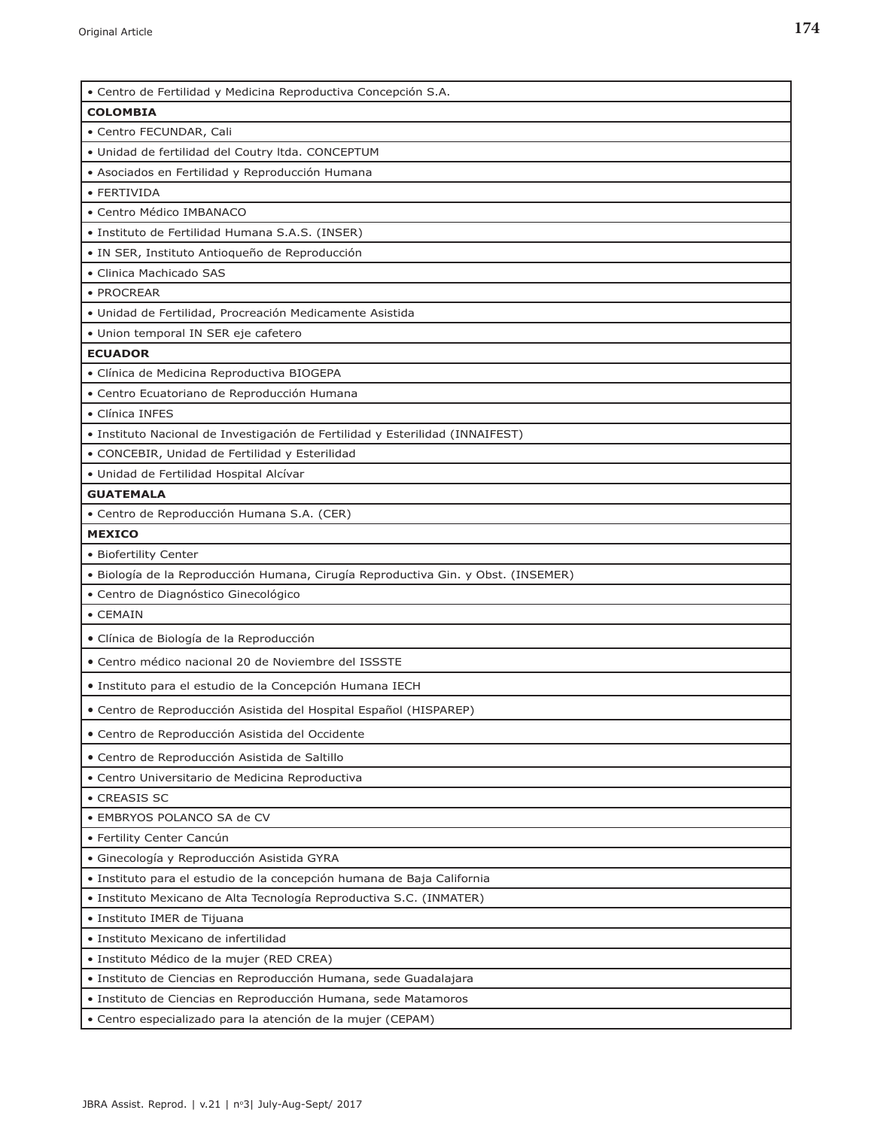| · Centro de Fertilidad y Medicina Reproductiva Concepción S.A.                    |
|-----------------------------------------------------------------------------------|
| <b>COLOMBIA</b>                                                                   |
| • Centro FECUNDAR, Cali                                                           |
| · Unidad de fertilidad del Coutry Itda. CONCEPTUM                                 |
| • Asociados en Fertilidad y Reproducción Humana                                   |
| • FERTIVIDA                                                                       |
| • Centro Médico IMBANACO                                                          |
| · Instituto de Fertilidad Humana S.A.S. (INSER)                                   |
| · IN SER, Instituto Antioqueño de Reproducción                                    |
| • Clinica Machicado SAS                                                           |
| • PROCREAR                                                                        |
| · Unidad de Fertilidad, Procreación Medicamente Asistida                          |
| · Union temporal IN SER eje cafetero                                              |
| <b>ECUADOR</b>                                                                    |
| · Clínica de Medicina Reproductiva BIOGEPA                                        |
| · Centro Ecuatoriano de Reproducción Humana                                       |
| • Clínica INFES                                                                   |
| · Instituto Nacional de Investigación de Fertilidad y Esterilidad (INNAIFEST)     |
| · CONCEBIR, Unidad de Fertilidad y Esterilidad                                    |
| • Unidad de Fertilidad Hospital Alcívar                                           |
| <b>GUATEMALA</b>                                                                  |
| · Centro de Reproducción Humana S.A. (CER)                                        |
| <b>MEXICO</b>                                                                     |
| · Biofertility Center                                                             |
| · Biología de la Reproducción Humana, Cirugía Reproductiva Gin. y Obst. (INSEMER) |
| · Centro de Diagnóstico Ginecológico                                              |
| • CEMAIN                                                                          |
| · Clínica de Biología de la Reproducción                                          |
| • Centro médico nacional 20 de Noviembre del ISSSTE                               |
| · Instituto para el estudio de la Concepción Humana IECH                          |
| • Centro de Reproducción Asistida del Hospital Español (HISPAREP)                 |
| · Centro de Reproducción Asistida del Occidente                                   |
| · Centro de Reproducción Asistida de Saltillo                                     |
| • Centro Universitario de Medicina Reproductiva                                   |
| • CREASIS SC                                                                      |
| · EMBRYOS POLANCO SA de CV                                                        |
| • Fertility Center Cancún                                                         |
| · Ginecología y Reproducción Asistida GYRA                                        |
| · Instituto para el estudio de la concepción humana de Baja California            |
| · Instituto Mexicano de Alta Tecnología Reproductiva S.C. (INMATER)               |
| · Instituto IMER de Tijuana                                                       |
| · Instituto Mexicano de infertilidad                                              |
| • Instituto Médico de la mujer (RED CREA)                                         |
| · Instituto de Ciencias en Reproducción Humana, sede Guadalajara                  |
| · Instituto de Ciencias en Reproducción Humana, sede Matamoros                    |
| · Centro especializado para la atención de la mujer (CEPAM)                       |